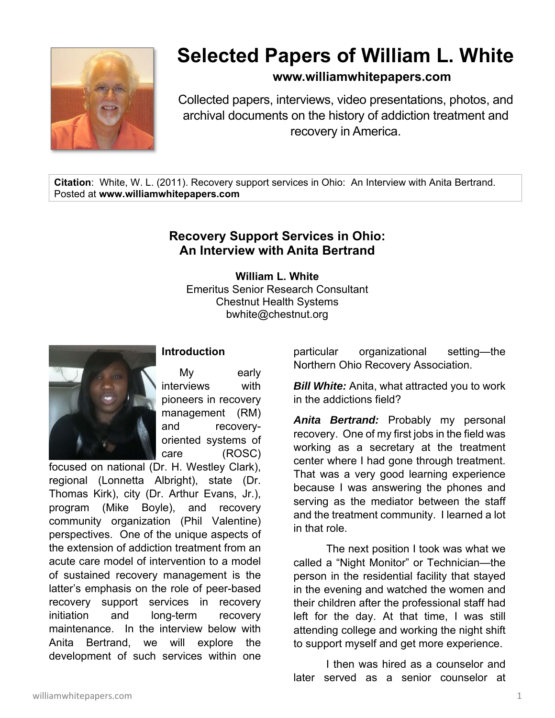

## **Selected Papers of William L. White**

## **www.williamwhitepapers.com**

Collected papers, interviews, video presentations, photos, and archival documents on the history of addiction treatment and recovery in America.

**Citation**: White, W. L. (2011). Recovery support services in Ohio: An Interview with Anita Bertrand. Posted at **www.williamwhitepapers.com** 

## **Recovery Support Services in Ohio: An Interview with Anita Bertrand**

**William L. White**  Emeritus Senior Research Consultant Chestnut Health Systems bwhite@chestnut.org



My early interviews with pioneers in recovery management (RM) and recoveryoriented systems of care (ROSC)

**Introduction** 

focused on national (Dr. H. Westley Clark), regional (Lonnetta Albright), state (Dr. Thomas Kirk), city (Dr. Arthur Evans, Jr.), program (Mike Boyle), and recovery community organization (Phil Valentine) perspectives. One of the unique aspects of the extension of addiction treatment from an acute care model of intervention to a model of sustained recovery management is the latter's emphasis on the role of peer-based recovery support services in recovery initiation and long-term recovery maintenance. In the interview below with Anita Bertrand, we will explore the development of such services within one

particular organizational setting—the Northern Ohio Recovery Association.

**Bill White:** Anita, what attracted you to work in the addictions field?

*Anita Bertrand:* Probably my personal recovery. One of my first jobs in the field was working as a secretary at the treatment center where I had gone through treatment. That was a very good learning experience because I was answering the phones and serving as the mediator between the staff and the treatment community. I learned a lot in that role.

 The next position I took was what we called a "Night Monitor" or Technician—the person in the residential facility that stayed in the evening and watched the women and their children after the professional staff had left for the day. At that time, I was still attending college and working the night shift to support myself and get more experience.

 I then was hired as a counselor and later served as a senior counselor at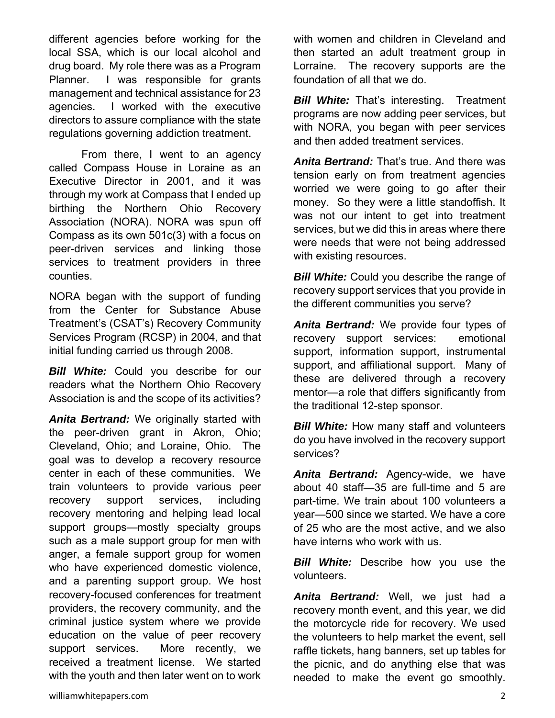different agencies before working for the local SSA, which is our local alcohol and drug board. My role there was as a Program Planner. I was responsible for grants management and technical assistance for 23 agencies. I worked with the executive directors to assure compliance with the state regulations governing addiction treatment.

 From there, I went to an agency called Compass House in Loraine as an Executive Director in 2001, and it was through my work at Compass that I ended up birthing the Northern Ohio Recovery Association (NORA). NORA was spun off Compass as its own 501c(3) with a focus on peer-driven services and linking those services to treatment providers in three counties.

NORA began with the support of funding from the Center for Substance Abuse Treatment's (CSAT's) Recovery Community Services Program (RCSP) in 2004, and that initial funding carried us through 2008.

*Bill White:* Could you describe for our readers what the Northern Ohio Recovery Association is and the scope of its activities?

*Anita Bertrand:* We originally started with the peer-driven grant in Akron, Ohio; Cleveland, Ohio; and Loraine, Ohio. The goal was to develop a recovery resource center in each of these communities. We train volunteers to provide various peer recovery support services, including recovery mentoring and helping lead local support groups—mostly specialty groups such as a male support group for men with anger, a female support group for women who have experienced domestic violence, and a parenting support group. We host recovery-focused conferences for treatment providers, the recovery community, and the criminal justice system where we provide education on the value of peer recovery support services. More recently, we received a treatment license. We started with the youth and then later went on to work with women and children in Cleveland and then started an adult treatment group in Lorraine. The recovery supports are the foundation of all that we do.

*Bill White:* That's interesting. Treatment programs are now adding peer services, but with NORA, you began with peer services and then added treatment services.

*Anita Bertrand:* That's true. And there was tension early on from treatment agencies worried we were going to go after their money. So they were a little standoffish. It was not our intent to get into treatment services, but we did this in areas where there were needs that were not being addressed with existing resources.

**Bill White:** Could you describe the range of recovery support services that you provide in the different communities you serve?

*Anita Bertrand:* We provide four types of recovery support services: emotional support, information support, instrumental support, and affiliational support. Many of these are delivered through a recovery mentor—a role that differs significantly from the traditional 12-step sponsor.

*Bill White:* How many staff and volunteers do you have involved in the recovery support services?

*Anita Bertrand:* Agency-wide, we have about 40 staff—35 are full-time and 5 are part-time. We train about 100 volunteers a year—500 since we started. We have a core of 25 who are the most active, and we also have interns who work with us.

*Bill White:* Describe how you use the volunteers.

*Anita Bertrand:* Well, we just had a recovery month event, and this year, we did the motorcycle ride for recovery. We used the volunteers to help market the event, sell raffle tickets, hang banners, set up tables for the picnic, and do anything else that was needed to make the event go smoothly.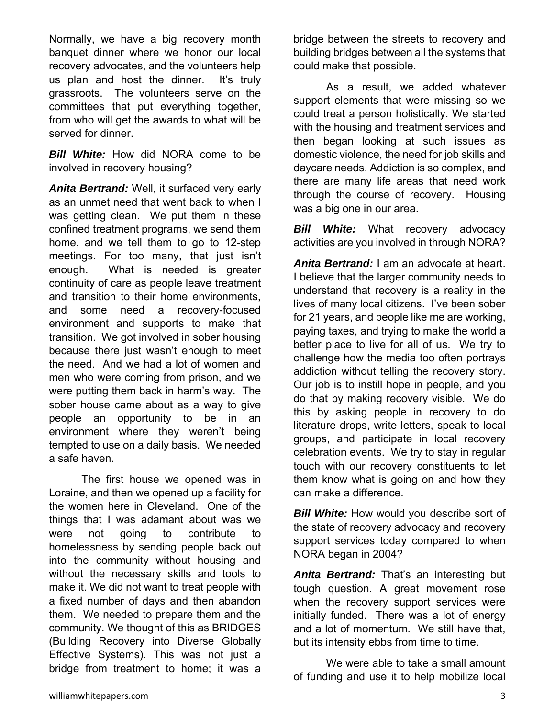Normally, we have a big recovery month banquet dinner where we honor our local recovery advocates, and the volunteers help us plan and host the dinner. It's truly grassroots. The volunteers serve on the committees that put everything together, from who will get the awards to what will be served for dinner.

*Bill White:* How did NORA come to be involved in recovery housing?

*Anita Bertrand:* Well, it surfaced very early as an unmet need that went back to when I was getting clean. We put them in these confined treatment programs, we send them home, and we tell them to go to 12-step meetings. For too many, that just isn't enough. What is needed is greater continuity of care as people leave treatment and transition to their home environments, and some need a recovery-focused environment and supports to make that transition. We got involved in sober housing because there just wasn't enough to meet the need. And we had a lot of women and men who were coming from prison, and we were putting them back in harm's way. The sober house came about as a way to give people an opportunity to be in an environment where they weren't being tempted to use on a daily basis. We needed a safe haven.

 The first house we opened was in Loraine, and then we opened up a facility for the women here in Cleveland. One of the things that I was adamant about was we were not going to contribute to homelessness by sending people back out into the community without housing and without the necessary skills and tools to make it. We did not want to treat people with a fixed number of days and then abandon them. We needed to prepare them and the community. We thought of this as BRIDGES (Building Recovery into Diverse Globally Effective Systems). This was not just a bridge from treatment to home; it was a

bridge between the streets to recovery and building bridges between all the systems that could make that possible.

 As a result, we added whatever support elements that were missing so we could treat a person holistically. We started with the housing and treatment services and then began looking at such issues as domestic violence, the need for job skills and daycare needs. Addiction is so complex, and there are many life areas that need work through the course of recovery. Housing was a big one in our area.

*Bill White:* What recovery advocacy activities are you involved in through NORA?

*Anita Bertrand:* I am an advocate at heart. I believe that the larger community needs to understand that recovery is a reality in the lives of many local citizens. I've been sober for 21 years, and people like me are working, paying taxes, and trying to make the world a better place to live for all of us. We try to challenge how the media too often portrays addiction without telling the recovery story. Our job is to instill hope in people, and you do that by making recovery visible. We do this by asking people in recovery to do literature drops, write letters, speak to local groups, and participate in local recovery celebration events. We try to stay in regular touch with our recovery constituents to let them know what is going on and how they can make a difference.

*Bill White:* How would you describe sort of the state of recovery advocacy and recovery support services today compared to when NORA began in 2004?

*Anita Bertrand:* That's an interesting but tough question. A great movement rose when the recovery support services were initially funded. There was a lot of energy and a lot of momentum. We still have that, but its intensity ebbs from time to time.

 We were able to take a small amount of funding and use it to help mobilize local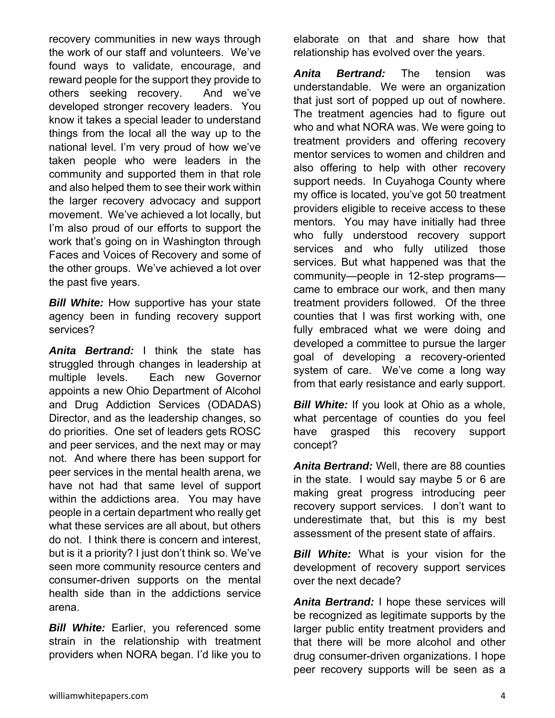recovery communities in new ways through the work of our staff and volunteers. We've found ways to validate, encourage, and reward people for the support they provide to others seeking recovery. And we've developed stronger recovery leaders. You know it takes a special leader to understand things from the local all the way up to the national level. I'm very proud of how we've taken people who were leaders in the community and supported them in that role and also helped them to see their work within the larger recovery advocacy and support movement. We've achieved a lot locally, but I'm also proud of our efforts to support the work that's going on in Washington through Faces and Voices of Recovery and some of the other groups. We've achieved a lot over the past five years.

*Bill White:* How supportive has your state agency been in funding recovery support services?

*Anita Bertrand:* I think the state has struggled through changes in leadership at multiple levels. Each new Governor appoints a new Ohio Department of Alcohol and Drug Addiction Services (ODADAS) Director, and as the leadership changes, so do priorities. One set of leaders gets ROSC and peer services, and the next may or may not. And where there has been support for peer services in the mental health arena, we have not had that same level of support within the addictions area. You may have people in a certain department who really get what these services are all about, but others do not. I think there is concern and interest, but is it a priority? I just don't think so. We've seen more community resource centers and consumer-driven supports on the mental health side than in the addictions service arena.

*Bill White:* Earlier, you referenced some strain in the relationship with treatment providers when NORA began. I'd like you to

elaborate on that and share how that relationship has evolved over the years.

*Anita Bertrand:* The tension was understandable. We were an organization that just sort of popped up out of nowhere. The treatment agencies had to figure out who and what NORA was. We were going to treatment providers and offering recovery mentor services to women and children and also offering to help with other recovery support needs. In Cuyahoga County where my office is located, you've got 50 treatment providers eligible to receive access to these mentors. You may have initially had three who fully understood recovery support services and who fully utilized those services. But what happened was that the community—people in 12-step programs came to embrace our work, and then many treatment providers followed. Of the three counties that I was first working with, one fully embraced what we were doing and developed a committee to pursue the larger goal of developing a recovery-oriented system of care. We've come a long way from that early resistance and early support.

*Bill White:* If you look at Ohio as a whole, what percentage of counties do you feel have grasped this recovery support concept?

*Anita Bertrand:* Well, there are 88 counties in the state. I would say maybe 5 or 6 are making great progress introducing peer recovery support services. I don't want to underestimate that, but this is my best assessment of the present state of affairs.

*Bill White:* What is your vision for the development of recovery support services over the next decade?

*Anita Bertrand:* I hope these services will be recognized as legitimate supports by the larger public entity treatment providers and that there will be more alcohol and other drug consumer-driven organizations. I hope peer recovery supports will be seen as a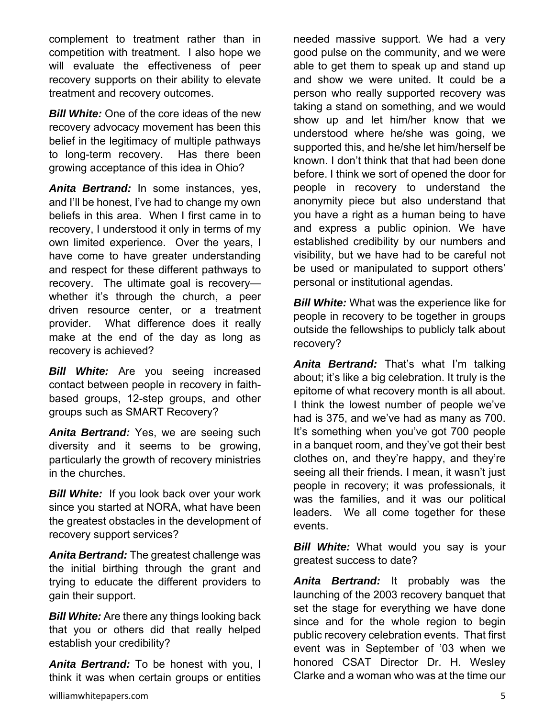complement to treatment rather than in competition with treatment. I also hope we will evaluate the effectiveness of peer recovery supports on their ability to elevate treatment and recovery outcomes.

*Bill White:* One of the core ideas of the new recovery advocacy movement has been this belief in the legitimacy of multiple pathways to long-term recovery. Has there been growing acceptance of this idea in Ohio?

*Anita Bertrand:* In some instances, yes, and I'll be honest, I've had to change my own beliefs in this area. When I first came in to recovery, I understood it only in terms of my own limited experience. Over the years, I have come to have greater understanding and respect for these different pathways to recovery. The ultimate goal is recovery whether it's through the church, a peer driven resource center, or a treatment provider. What difference does it really make at the end of the day as long as recovery is achieved?

**Bill White:** Are you seeing increased contact between people in recovery in faithbased groups, 12-step groups, and other groups such as SMART Recovery?

*Anita Bertrand:* Yes, we are seeing such diversity and it seems to be growing, particularly the growth of recovery ministries in the churches.

*Bill White:*If you look back over your work since you started at NORA, what have been the greatest obstacles in the development of recovery support services?

*Anita Bertrand:* The greatest challenge was the initial birthing through the grant and trying to educate the different providers to gain their support.

*Bill White:* Are there any things looking back that you or others did that really helped establish your credibility?

*Anita Bertrand:* To be honest with you, I think it was when certain groups or entities needed massive support. We had a very good pulse on the community, and we were able to get them to speak up and stand up and show we were united. It could be a person who really supported recovery was taking a stand on something, and we would show up and let him/her know that we understood where he/she was going, we supported this, and he/she let him/herself be known. I don't think that that had been done before. I think we sort of opened the door for people in recovery to understand the anonymity piece but also understand that you have a right as a human being to have and express a public opinion. We have established credibility by our numbers and visibility, but we have had to be careful not be used or manipulated to support others' personal or institutional agendas.

*Bill White:* What was the experience like for people in recovery to be together in groups outside the fellowships to publicly talk about recovery?

*Anita Bertrand:* That's what I'm talking about; it's like a big celebration. It truly is the epitome of what recovery month is all about. I think the lowest number of people we've had is 375, and we've had as many as 700. It's something when you've got 700 people in a banquet room, and they've got their best clothes on, and they're happy, and they're seeing all their friends. I mean, it wasn't just people in recovery; it was professionals, it was the families, and it was our political leaders. We all come together for these events.

*Bill White:* What would you say is your greatest success to date?

*Anita Bertrand:* It probably was the launching of the 2003 recovery banquet that set the stage for everything we have done since and for the whole region to begin public recovery celebration events. That first event was in September of '03 when we honored CSAT Director Dr. H. Wesley Clarke and a woman who was at the time our